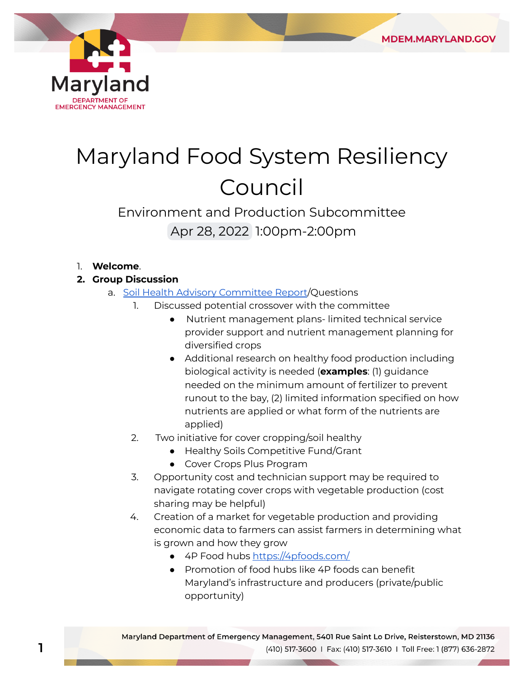

## Maryland Food System Resiliency Council

## Environment and Production Subcommittee Apr 28, 2022 1:00pm-2:00pm

## 1. **Welcome**.

- **2. Group Discussion**
	- a. <u>Soil Health Advisory Committee Report</u>/Questions
		- 1. Discussed potential crossover with the committee
			- ● Nutrient management plans- limited technical service provider support and nutrient management planning for diversified crops
			- ● Additional research on healthy food production including biological activity is needed (**examples**: (1) guidance needed on the minimum amount of fertilizer to prevent runout to the bay, (2) limited information specified on how nutrients are applied or what form of the nutrients are applied)
		- 2. Two initiative for cover cropping/soil healthy
			- Healthy Soils Competitive Fund/Grant
			- Cover Crops Plus Program
		- 3. Opportunity cost and technician support may be required to navigate rotating cover crops with vegetable production (cost sharing may be helpful)
		- 4. Creation of a market for vegetable production and providing economic data to farmers can assist farmers in determining what is grown and how they grow
			- 4P Food hubs [https://4pfoods.com/](https://4pfoods.com)
			- ● Promotion of food hubs like 4P foods can benefit Maryland's infrastructure and producers (private/public opportunity)

**1**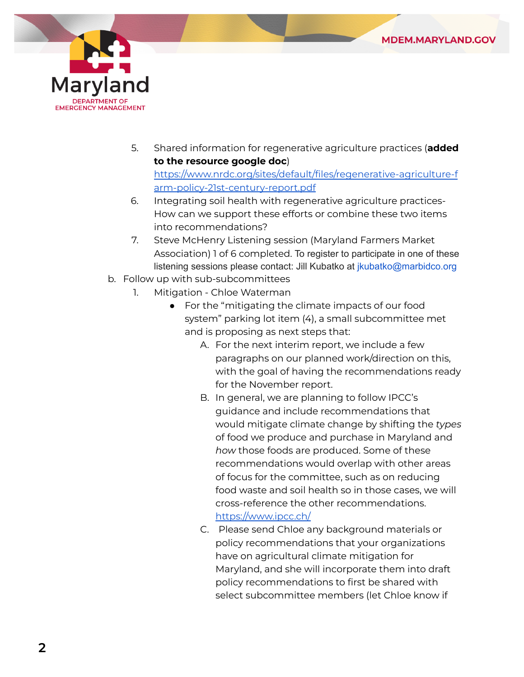



 5. Shared information for regenerative agriculture practices (**added to the resource google doc**)

<https://www.nrdc.org/sites/default/files/regenerative-agriculture-f> arm-policy-21st-century-report.pdf

- 6. Integrating soil health with regenerative agriculture practices- How can we support these efforts or combine these two items into recommendations?
- 7. Steve McHenry Listening session (Maryland Farmers Market Association) 1 of 6 completed. To register to participate in one of these listening sessions please contact: Jill Kubatko at [jkubatko@marbidco.org](mailto:jkubatko@marbidco.org)
- b. Follow up with sub-subcommittees
	- 1. Mitigation Chloe Waterman
		- ● For the "mitigating the climate impacts of our food system" parking lot item (4), a small subcommittee met and is proposing as next steps that:
			- A. For the next interim report, we include a few paragraphs on our planned work/direction on this, with the goal of having the recommendations ready for the November report.
			- B. In general, we are planning to follow IPCC's guidance and include recommendations that would mitigate climate change by shifting the *types* of food we produce and purchase in Maryland and *how* those foods are produced. Some of these recommendations would overlap with other areas of focus for the committee, such as on reducing food waste and soil health so in those cases, we will cross-reference the other recommendations. [https://www.ipcc.ch/](https://www.ipcc.ch)
			- C. Please send Chloe any background materials or policy recommendations that your organizations have on agricultural climate mitigation for Maryland, and she will incorporate them into draft policy recommendations to first be shared with select subcommittee members (let Chloe know if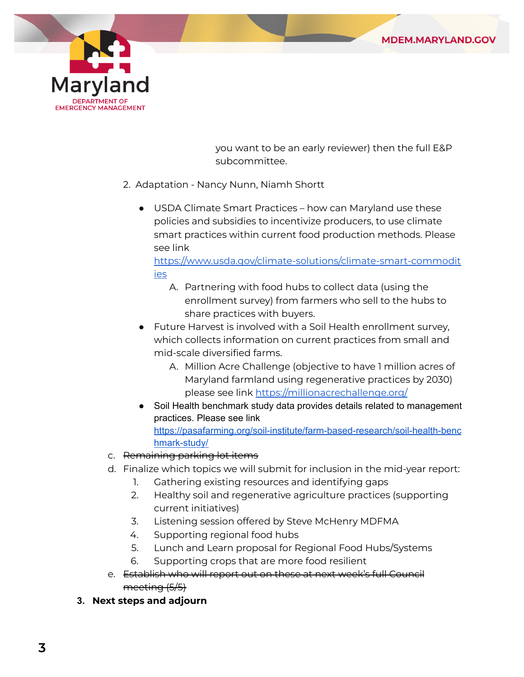



 you want to be an early reviewer) then the full E&P subcommittee.

- 2. Adaptation Nancy Nunn, Niamh Shortt
	- ● USDA Climate Smart Practices how can Maryland use these policies and subsidies to incentivize producers, to use climate smart practices within current food production methods. Please see link

## <https://www.usda.gov/climate-solutions/climate-smart-commodit> ies

- A. Partnering with food hubs to collect data (using the enrollment survey) from farmers who sell to the hubs to share practices with buyers.
- ● Future Harvest is involved with a Soil Health enrollment survey, which collects information on current practices from small and mid-scale diversified farms.
	- A. Million Acre Challenge (objective to have 1 million acres of Maryland farmland using regenerative practices by 2030) please see link <u>[https://millionacrechallenge.org/](https://millionacrechallenge.org)</u>
- ● Soil Health benchmark study data provides details related to management practices. Please see link <https://pasafarming.org/soil-institute/farm-based-research/soil-health-benc> hmark-study/
- c. <del>Remaining parking lot items</del>
- d. Finalize which topics we will submit for inclusion in the mid-year report:
	- 1. Gathering existing resources and identifying gaps
	- 2. Healthy soil and regenerative agriculture practices (supporting current initiatives)
	- 3. Listening session offered by Steve McHenry MDFMA
	- 4. Supporting regional food hubs
	- 5. Lunch and Learn proposal for Regional Food Hubs/Systems
	- 6. Supporting crops that are more food resilient
- e. Establish who will report out on these at next week's full Council meeting (5/5)
- **3. Next steps and adjourn**